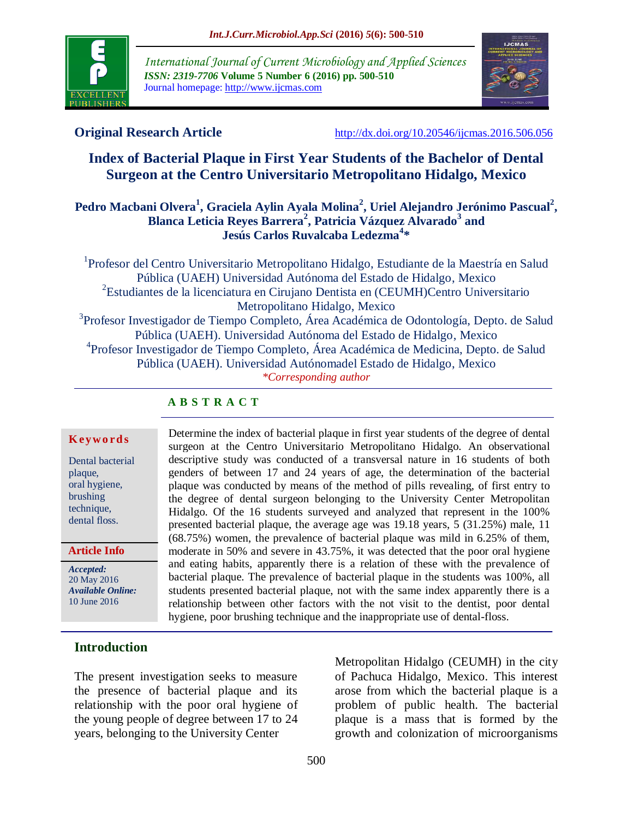

*International Journal of Current Microbiology and Applied Sciences ISSN: 2319-7706* **Volume 5 Number 6 (2016) pp. 500-510** Journal homepage: http://www.ijcmas.com



**Original Research Article** <http://dx.doi.org/10.20546/ijcmas.2016.506.056>

# **Index of Bacterial Plaque in First Year Students of the Bachelor of Dental Surgeon at the Centro Universitario Metropolitano Hidalgo, Mexico**

#### **Pedro Macbani Olvera<sup>1</sup> , Graciela Aylin Ayala Molina<sup>2</sup> , Uriel Alejandro Jerónimo Pascual<sup>2</sup> , Blanca Leticia Reyes Barrera<sup>2</sup> , Patricia Vázquez Alvarado<sup>3</sup> and Jesús Carlos Ruvalcaba Ledezma<sup>4</sup> \***

<sup>1</sup>Profesor del Centro Universitario Metropolitano Hidalgo, Estudiante de la Maestría en Salud Pública (UAEH) Universidad Autónoma del Estado de Hidalgo, Mexico 2 Estudiantes de la licenciatura en Cirujano Dentista en (CEUMH)Centro Universitario Metropolitano Hidalgo, Mexico <sup>3</sup>Profesor Investigador de Tiempo Completo, Área Académica de Odontología, Depto. de Salud Pública (UAEH). Universidad Autónoma del Estado de Hidalgo, Mexico 4 Profesor Investigador de Tiempo Completo, Área Académica de Medicina, Depto. de Salud Pública (UAEH). Universidad Autónomadel Estado de Hidalgo, Mexico *\*Corresponding author*

#### **A B S T R A C T**

#### **K ey w o rd s**

Dental bacterial plaque, oral hygiene, brushing technique, dental floss.

**Article Info**

*Accepted:*  20 May 2016 *Available Online:* 10 June 2016

Determine the index of bacterial plaque in first year students of the degree of dental surgeon at the Centro Universitario Metropolitano Hidalgo. An observational descriptive study was conducted of a transversal nature in 16 students of both genders of between 17 and 24 years of age, the determination of the bacterial plaque was conducted by means of the method of pills revealing, of first entry to the degree of dental surgeon belonging to the University Center Metropolitan Hidalgo. Of the 16 students surveyed and analyzed that represent in the 100% presented bacterial plaque, the average age was 19.18 years, 5 (31.25%) male, 11 (68.75%) women, the prevalence of bacterial plaque was mild in 6.25% of them, moderate in 50% and severe in 43.75%, it was detected that the poor oral hygiene and eating habits, apparently there is a relation of these with the prevalence of bacterial plaque. The prevalence of bacterial plaque in the students was 100%, all students presented bacterial plaque, not with the same index apparently there is a relationship between other factors with the not visit to the dentist, poor dental hygiene, poor brushing technique and the inappropriate use of dental-floss.

## **Introduction**

The present investigation seeks to measure the presence of bacterial plaque and its relationship with the poor oral hygiene of the young people of degree between 17 to 24 years, belonging to the University Center

Metropolitan Hidalgo (CEUMH) in the city of Pachuca Hidalgo, Mexico. This interest arose from which the bacterial plaque is a problem of public health. The bacterial plaque is a mass that is formed by the growth and colonization of microorganisms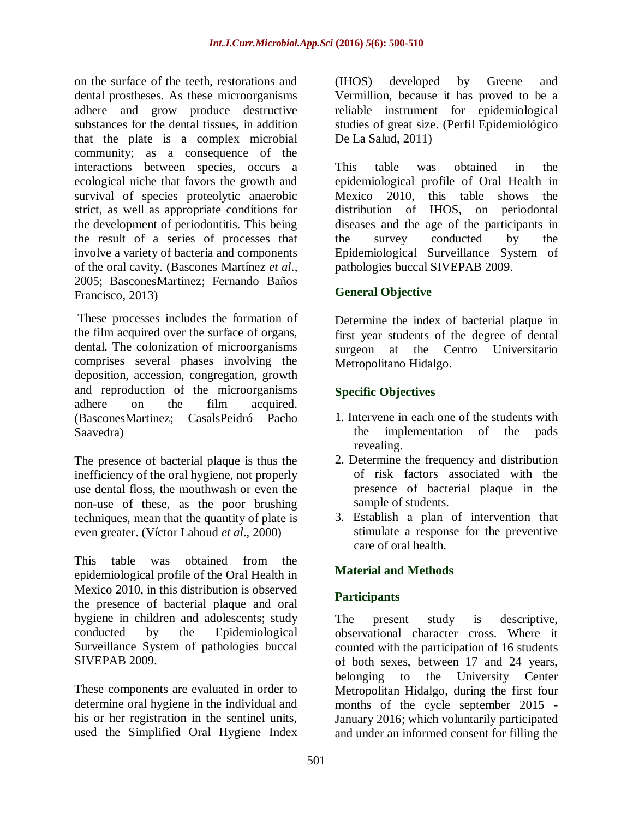on the surface of the teeth, restorations and dental prostheses. As these microorganisms adhere and grow produce destructive substances for the dental tissues, in addition that the plate is a complex microbial community; as a consequence of the interactions between species, occurs a ecological niche that favors the growth and survival of species proteolytic anaerobic strict, as well as appropriate conditions for the development of periodontitis. This being the result of a series of processes that involve a variety of bacteria and components of the oral cavity. (Bascones Martínez *et al*., 2005; BasconesMartinez; Fernando Baños Francisco, 2013)

These processes includes the formation of the film acquired over the surface of organs, dental. The colonization of microorganisms comprises several phases involving the deposition, accession, congregation, growth and reproduction of the microorganisms adhere on the film acquired. (BasconesMartinez; CasalsPeidró Pacho Saavedra)

The presence of bacterial plaque is thus the inefficiency of the oral hygiene, not properly use dental floss, the mouthwash or even the non-use of these, as the poor brushing techniques, mean that the quantity of plate is even greater. (Víctor Lahoud *et al*., 2000)

This table was obtained from the epidemiological profile of the Oral Health in Mexico 2010, in this distribution is observed the presence of bacterial plaque and oral hygiene in children and adolescents; study conducted by the Epidemiological Surveillance System of pathologies buccal SIVEPAB 2009.

These components are evaluated in order to determine oral hygiene in the individual and his or her registration in the sentinel units, used the Simplified Oral Hygiene Index (IHOS) developed by Greene and Vermillion, because it has proved to be a reliable instrument for epidemiological studies of great size. (Perfil Epidemiológico De La Salud, 2011)

This table was obtained in the epidemiological profile of Oral Health in Mexico 2010, this table shows the distribution of IHOS, on periodontal diseases and the age of the participants in the survey conducted by the Epidemiological Surveillance System of pathologies buccal SIVEPAB 2009.

### **General Objective**

Determine the index of bacterial plaque in first year students of the degree of dental surgeon at the Centro Universitario Metropolitano Hidalgo.

## **Specific Objectives**

- 1. Intervene in each one of the students with the implementation of the pads revealing.
- 2. Determine the frequency and distribution of risk factors associated with the presence of bacterial plaque in the sample of students.
- 3. Establish a plan of intervention that stimulate a response for the preventive care of oral health.

## **Material and Methods**

## **Participants**

The present study is descriptive, observational character cross. Where it counted with the participation of 16 students of both sexes, between 17 and 24 years, belonging to the University Center Metropolitan Hidalgo, during the first four months of the cycle september 2015 - January 2016; which voluntarily participated and under an informed consent for filling the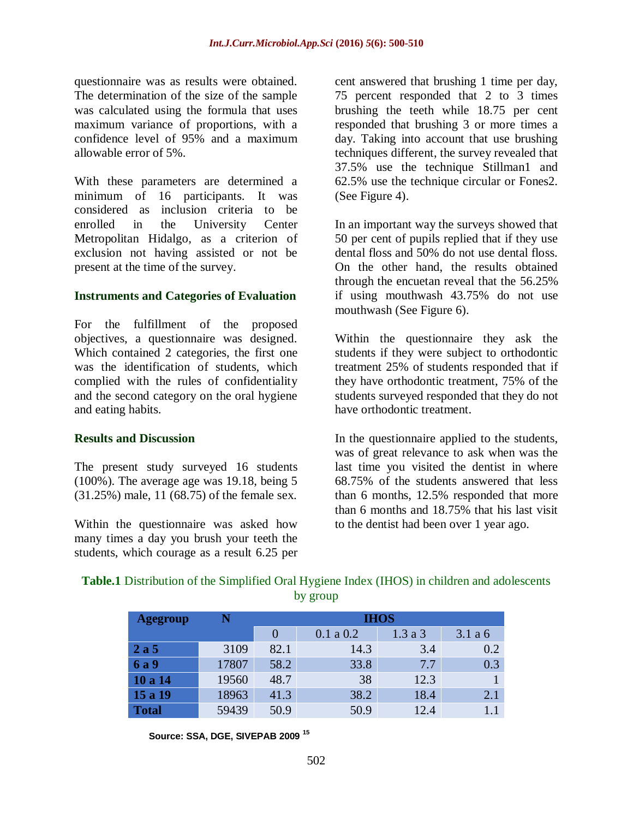questionnaire was as results were obtained. The determination of the size of the sample was calculated using the formula that uses maximum variance of proportions, with a confidence level of 95% and a maximum allowable error of 5%.

With these parameters are determined a minimum of 16 participants. It was considered as inclusion criteria to be enrolled in the University Center Metropolitan Hidalgo, as a criterion of exclusion not having assisted or not be present at the time of the survey.

#### **Instruments and Categories of Evaluation**

For the fulfillment of the proposed objectives, a questionnaire was designed. Which contained 2 categories, the first one was the identification of students, which complied with the rules of confidentiality and the second category on the oral hygiene and eating habits.

#### **Results and Discussion**

The present study surveyed 16 students (100%). The average age was 19.18, being 5 (31.25%) male, 11 (68.75) of the female sex.

Within the questionnaire was asked how many times a day you brush your teeth the students, which courage as a result 6.25 per cent answered that brushing 1 time per day, 75 percent responded that 2 to 3 times brushing the teeth while 18.75 per cent responded that brushing 3 or more times a day. Taking into account that use brushing techniques different, the survey revealed that 37.5% use the technique Stillman1 and 62.5% use the technique circular or Fones2. (See Figure 4).

In an important way the surveys showed that 50 per cent of pupils replied that if they use dental floss and 50% do not use dental floss. On the other hand, the results obtained through the encuetan reveal that the 56.25% if using mouthwash 43.75% do not use mouthwash (See Figure 6).

Within the questionnaire they ask the students if they were subject to orthodontic treatment 25% of students responded that if they have orthodontic treatment, 75% of the students surveyed responded that they do not have orthodontic treatment.

In the questionnaire applied to the students, was of great relevance to ask when was the last time you visited the dentist in where 68.75% of the students answered that less than 6 months, 12.5% responded that more than 6 months and 18.75% that his last visit to the dentist had been over 1 year ago.

| <b>Agegroup</b> |       | <b>IHOS</b> |           |       |         |  |  |
|-----------------|-------|-------------|-----------|-------|---------|--|--|
|                 |       |             | 0.1 a 0.2 | 1.3a3 | 3.1 a 6 |  |  |
| 2a5             | 3109  | 82.1        | 14.3      | 3.4   | 0.2     |  |  |
| <b>6a9</b>      | 17807 | 58.2        | 33.8      | 7.7   | 0.3     |  |  |
| 10 a 14         | 19560 | 48.7        | 38        | 12.3  |         |  |  |
| 15 a 19         | 18963 | 41.3        | 38.2      | 18.4  | 2.1     |  |  |
| <b>Total</b>    | 59439 | 50.9        | 50.9      | 12.4  |         |  |  |

#### **Table.1** Distribution of the Simplified Oral Hygiene Index (IHOS) in children and adolescents by group

**Source: SSA, DGE, SIVEPAB 2009 <sup>15</sup>**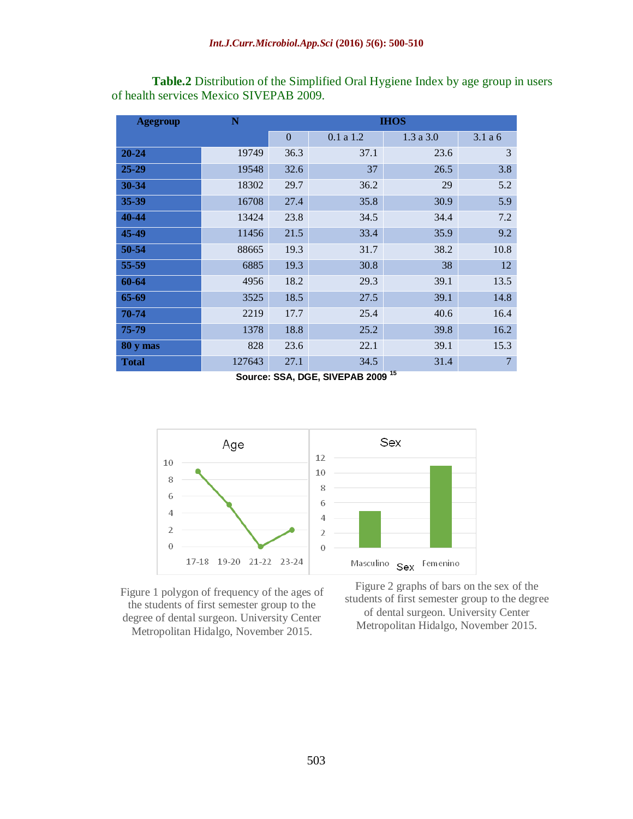| <b>Agegroup</b> | $\mathbb N$ | <b>IHOS</b>      |           |         |       |  |  |
|-----------------|-------------|------------------|-----------|---------|-------|--|--|
|                 |             | $\boldsymbol{0}$ | 0.1 a 1.2 | 1.3a3.0 | 3.1a6 |  |  |
| $20 - 24$       | 19749       | 36.3             | 37.1      | 23.6    | 3     |  |  |
| $25 - 29$       | 19548       | 32.6             | 37        | 26.5    | 3.8   |  |  |
| 30-34           | 18302       | 29.7             | 36.2      | 29      | 5.2   |  |  |
| 35-39           | 16708       | 27.4             | 35.8      | 30.9    | 5.9   |  |  |
| 40-44           | 13424       | 23.8             | 34.5      | 34.4    | 7.2   |  |  |
| 45-49           | 11456       | 21.5             | 33.4      | 35.9    | 9.2   |  |  |
| 50-54           | 88665       | 19.3             | 31.7      | 38.2    | 10.8  |  |  |
| 55-59           | 6885        | 19.3             | 30.8      | 38      | 12    |  |  |
| 60-64           | 4956        | 18.2             | 29.3      | 39.1    | 13.5  |  |  |
| 65-69           | 3525        | 18.5             | 27.5      | 39.1    | 14.8  |  |  |
| 70-74           | 2219        | 17.7             | 25.4      | 40.6    | 16.4  |  |  |
| 75-79           | 1378        | 18.8             | 25.2      | 39.8    | 16.2  |  |  |
| 80 y mas        | 828         | 23.6             | 22.1      | 39.1    | 15.3  |  |  |
| <b>Total</b>    | 127643      | 27.1             | 34.5      | 31.4    | 7     |  |  |

**Table.2** Distribution of the Simplified Oral Hygiene Index by age group in users of health services Mexico SIVEPAB 2009.

**Source: SSA, DGE, SIVEPAB 2009 <sup>15</sup>**



Figure 1 polygon of frequency of the ages of the students of first semester group to the degree of dental surgeon. University Center Metropolitan Hidalgo, November 2015.

Figure 2 graphs of bars on the sex of the students of first semester group to the degree of dental surgeon. University Center Metropolitan Hidalgo, November 2015.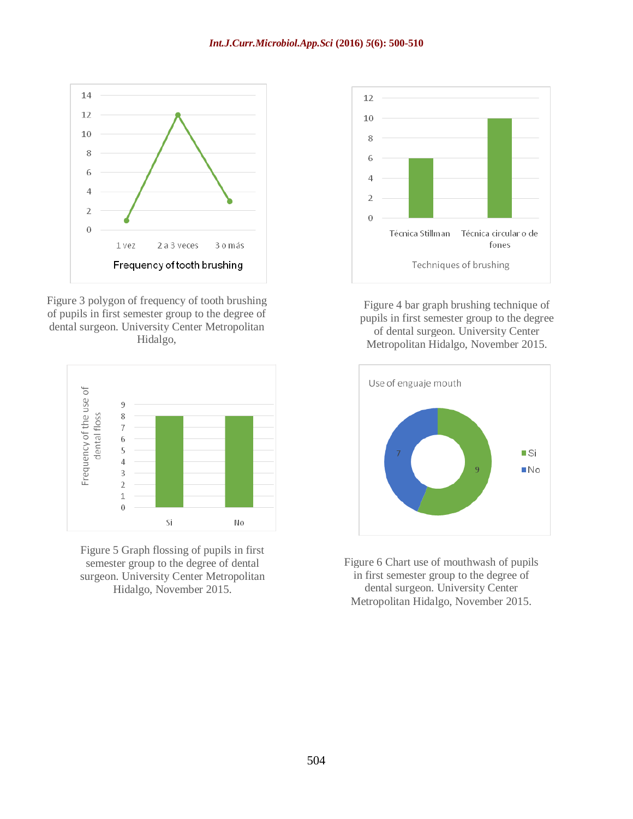

Figure 3 polygon of frequency of tooth brushing of pupils in first semester group to the degree of dental surgeon. University Center Metropolitan Hidalgo,



Figure 5 Graph flossing of pupils in first semester group to the degree of dental surgeon. University Center Metropolitan Hidalgo, November 2015.



Figure 4 bar graph brushing technique of pupils in first semester group to the degree of dental surgeon. University Center Metropolitan Hidalgo, November 2015.



Figure 6 Chart use of mouthwash of pupils in first semester group to the degree of dental surgeon. University Center Metropolitan Hidalgo, November 2015.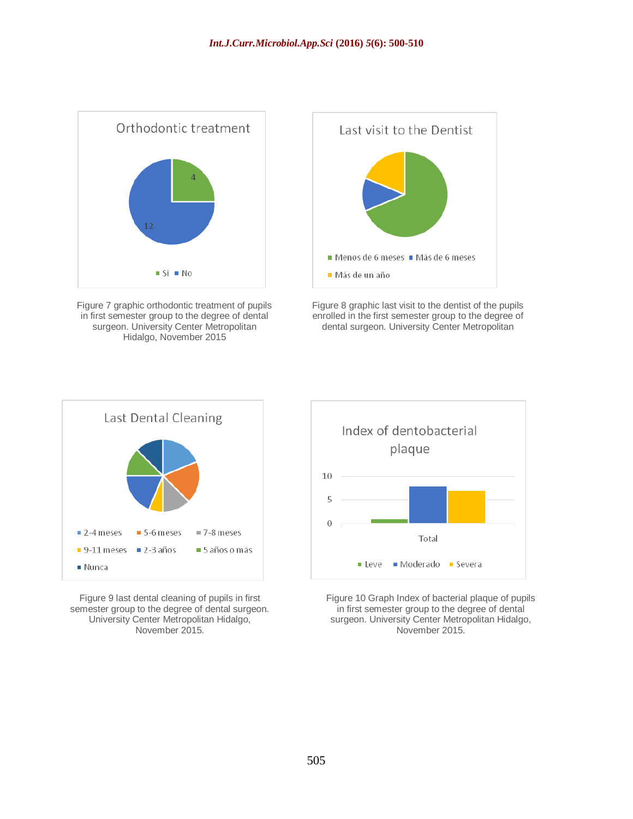

Figure 7 graphic orthodontic treatment of pupils in first semester group to the degree of dental surgeon. University Center Metropolitan Hidalgo, November 2015



Figure 8 graphic last visit to the dentist of the pupils enrolled in the first semester group to the degree of dental surgeon. University Center Metropolitan



Figure 9 last dental cleaning of pupils in first semester group to the degree of dental surgeon. University Center Metropolitan Hidalgo, November 2015.



Figure 10 Graph Index of bacterial plaque of pupils in first semester group to the degree of dental surgeon. University Center Metropolitan Hidalgo, November 2015.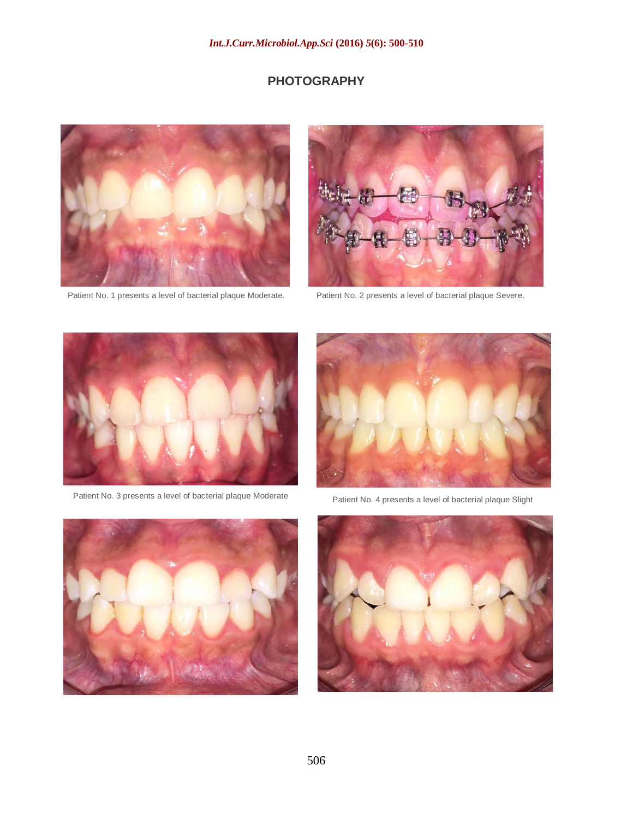# **PHOTOGRAPHY**



Patient No. 1 presents a level of bacterial plaque Moderate. Patient No. 2 presents a level of bacterial plaque Severe.





Patient No. 3 presents a level of bacterial plaque Moderate<br>
Patient No. 4 presents a level of bacterial plaque Slight





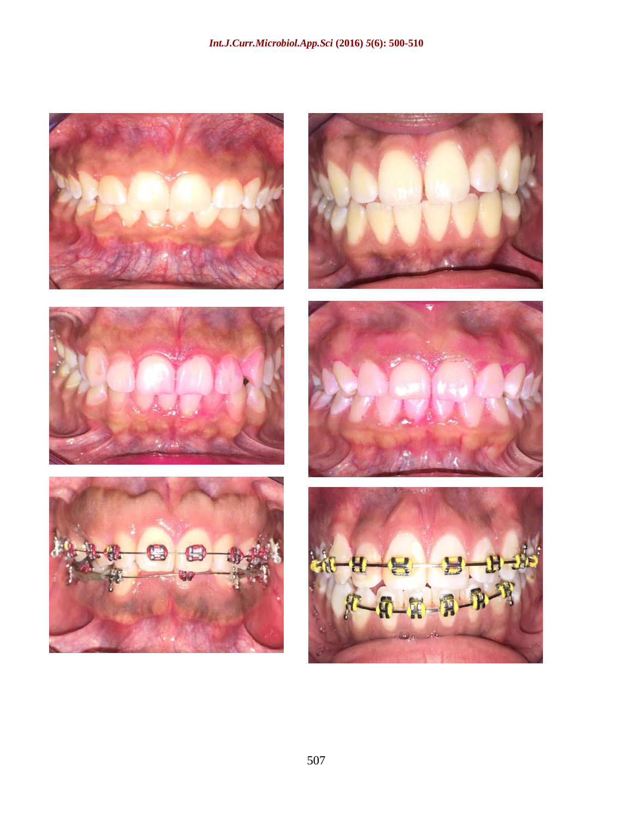









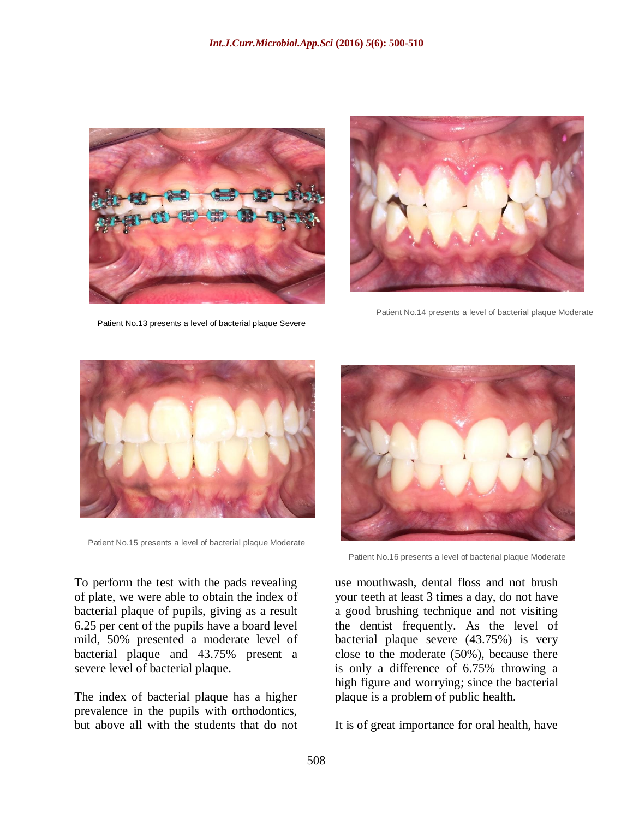



Patient No.13 presents a level of bacterial plaque Severe

Patient No.14 presents a level of bacterial plaque Moderate



Patient No.15 presents a level of bacterial plaque Moderate

To perform the test with the pads revealing of plate, we were able to obtain the index of bacterial plaque of pupils, giving as a result 6.25 per cent of the pupils have a board level mild, 50% presented a moderate level of bacterial plaque and 43.75% present a severe level of bacterial plaque.

The index of bacterial plaque has a higher prevalence in the pupils with orthodontics, but above all with the students that do not



Patient No.16 presents a level of bacterial plaque Moderate

use mouthwash, dental floss and not brush your teeth at least 3 times a day, do not have a good brushing technique and not visiting the dentist frequently. As the level of bacterial plaque severe (43.75%) is very close to the moderate (50%), because there is only a difference of 6.75% throwing a high figure and worrying; since the bacterial plaque is a problem of public health.

It is of great importance for oral health, have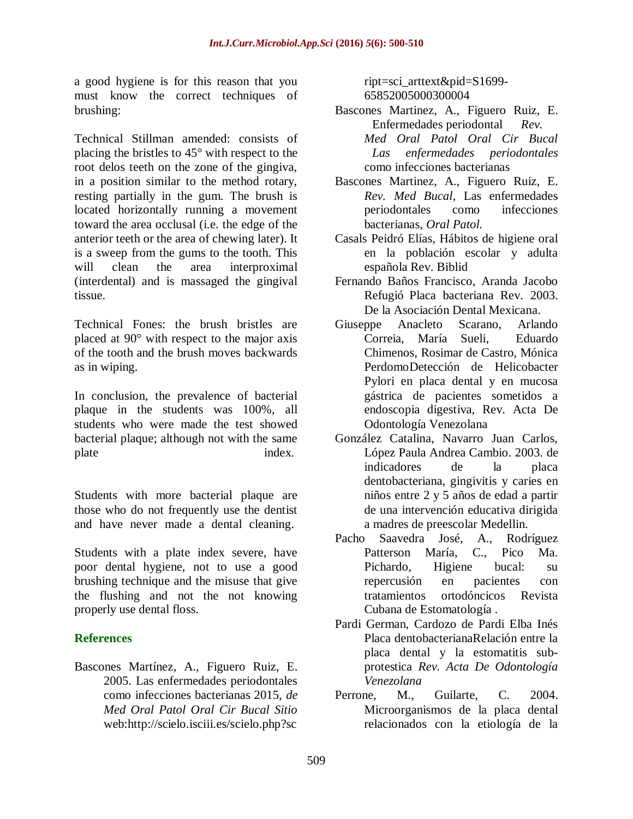a good hygiene is for this reason that you must know the correct techniques of brushing:

Technical Stillman amended: consists of placing the bristles to 45° with respect to the root delos teeth on the zone of the gingiva, in a position similar to the method rotary, resting partially in the gum. The brush is located horizontally running a movement toward the area occlusal (i.e. the edge of the anterior teeth or the area of chewing later). It is a sweep from the gums to the tooth. This will clean the area interproximal (interdental) and is massaged the gingival tissue.

Technical Fones: the brush bristles are placed at 90° with respect to the major axis of the tooth and the brush moves backwards as in wiping.

In conclusion, the prevalence of bacterial plaque in the students was 100%, all students who were made the test showed bacterial plaque; although not with the same plate index.

Students with more bacterial plaque are those who do not frequently use the dentist and have never made a dental cleaning.

Students with a plate index severe, have poor dental hygiene, not to use a good brushing technique and the misuse that give the flushing and not the not knowing properly use dental floss.

## **References**

Bascones Martínez, A., Figuero Ruiz, E. 2005. Las enfermedades periodontales como infecciones bacterianas 2015, *de Med Oral Patol Oral Cir Bucal Sitio*  web[:http://scielo.isciii.es/scielo.php?sc](http://scielo.isciii.es/scielo.php?script=sci_arttext&pid=S1699-65852005000300004)

[ript=sci\\_arttext&pid=S1699-](http://scielo.isciii.es/scielo.php?script=sci_arttext&pid=S1699-65852005000300004) [65852005000300004](http://scielo.isciii.es/scielo.php?script=sci_arttext&pid=S1699-65852005000300004)

- Bascones Martinez, A., Figuero Ruiz, E. Enfermedades periodontal *Rev. Med Oral Patol Oral Cir Bucal Las enfermedades periodontales*  como infecciones bacterianas
- Bascones Martinez, A., Figuero Ruiz, E. *Rev. Med Bucal,* Las enfermedades periodontales como infecciones bacterianas, *Oral Patol.*
- Casals Peidró Elías, Hábitos de higiene oral en la población escolar y adulta española Rev. Biblid
- Fernando Baños Francisco, Aranda Jacobo Refugió Placa bacteriana Rev. 2003. De la Asociación Dental Mexicana.
- Giuseppe Anacleto Scarano, Arlando Correia, María Sueli, Eduardo Chimenos, Rosimar de Castro, Mónica PerdomoDetección de Helicobacter Pylori en placa dental y en mucosa gástrica de pacientes sometidos a endoscopia digestiva, Rev. Acta De Odontología Venezolana
- González Catalina, Navarro Juan Carlos, López Paula Andrea Cambio. 2003. de indicadores de la placa dentobacteriana, gingivitis y caries en niños entre 2 y 5 años de edad a partir de una intervención educativa dirigida a madres de preescolar Medellin.
- Pacho Saavedra José, A., Rodríguez Patterson María, C., Pico Ma. Pichardo, Higiene bucal: su repercusión en pacientes con tratamientos ortodóncicos Revista Cubana de Estomatología .
- Pardi German, Cardozo de Pardi Elba Inés Placa dentobacterianaRelación entre la placa dental y la estomatitis subprotestica *Rev. Acta De Odontología Venezolana*
- Perrone, M., Guilarte, C. 2004. Microorganismos de la placa dental relacionados con la etiología de la